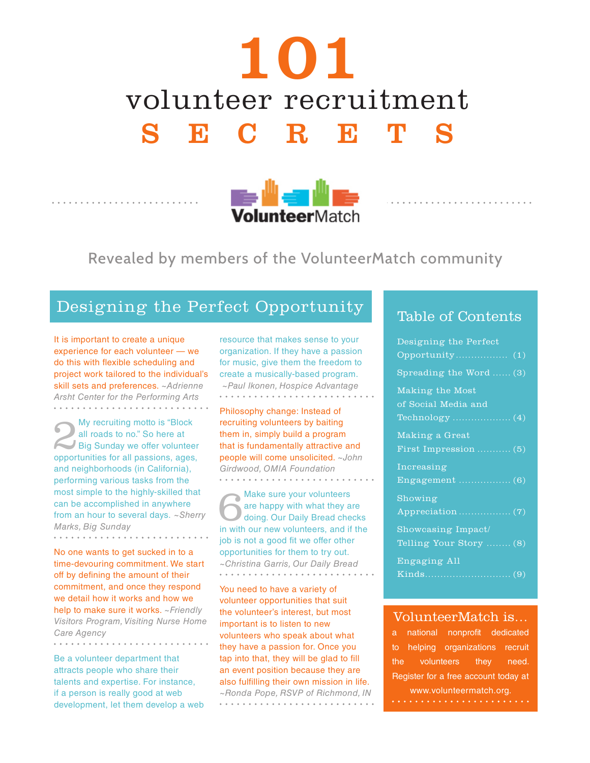# 101 volunteer recruitment SECRETS



### Revealed by members of the VolunteerMatch community

### Designing the Perfect Opportunity

It is important to create a unique experience for each volunteer — we do this with flexible scheduling and project work tailored to the individual's skill sets and preferences. *~Adrienne Arsht Center for the Performing Arts*

My recruiting motto is "Block<br>
all roads to no." So here at<br>
Big Sunday we offer volunteer<br>
opportunities for all passions ages all roads to no." So here at opportunities for all passions, ages, and neighborhoods (in California), performing various tasks from the most simple to the highly-skilled that can be accomplished in anywhere from an hour to several days. *~Sherry Marks, Big Sunday* . . . . . . . . . . . . . .

No one wants to get sucked in to a time-devouring commitment. We start off by defining the amount of their commitment, and once they respond we detail how it works and how we help to make sure it works. *~Friendly Visitors Program, Visiting Nurse Home Care Agency*

Be a volunteer department that attracts people who share their talents and expertise. For instance, if a person is really good at web development, let them develop a web

resource that makes sense to your organization. If they have a passion for music, give them the freedom to create a musically-based program.  *~Paul Ikonen, Hospice Advantage*

Philosophy change: Instead of recruiting volunteers by baiting them in, simply build a program that is fundamentally attractive and people will come unsolicited. *~John Girdwood, OMIA Foundation*

Make sure your volunteers are happy with what they are doing. Our Daily Bread checks in with our new volunteers, and if the job is not a good fit we offer other opportunities for them to try out. *~Christina Garris, Our Daily Bread* 

You need to have a variety of volunteer opportunities that suit the volunteer's interest, but most important is to listen to new volunteers who speak about what they have a passion for. Once you tap into that, they will be glad to fill an event position because they are also fulfilling their own mission in life. *~Ronda Pope, RSVP of Richmond, IN* . . . . . . . . . . . . . . . . . . .

### Table of Contents

| Designing the Perfect   |
|-------------------------|
|                         |
| Spreading the Word  (3) |
| Making the Most         |
| of Social Media and     |
|                         |
| Making a Great          |
| First Impression  (5)   |
| Increasing              |
| Engagement $\ldots$ (6) |
| Showing                 |
|                         |
| Showcasing Impact/      |
| Telling Your Story  (8) |
| Engaging All            |
|                         |

#### VolunteerMatch is…

a national nonprofit dedicated to helping organizations recruit the volunteers they need. Register for a free account today at www.volunteermatch.org.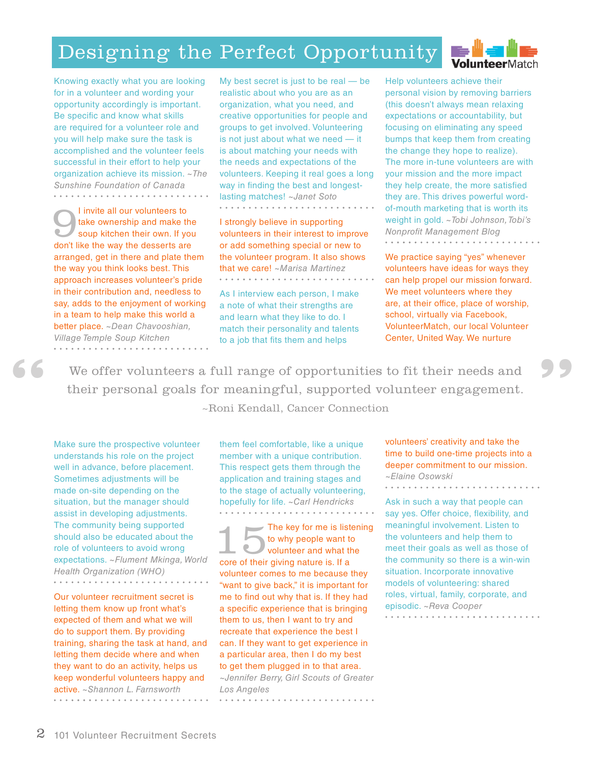## Designing the Perfect Opportunity



Knowing exactly what you are looking for in a volunteer and wording your opportunity accordingly is important. Be specific and know what skills are required for a volunteer role and you will help make sure the task is accomplished and the volunteer feels successful in their effort to help your organization achieve its mission. *~The Sunshine Foundation of Canada*

I invite all our volunteers to<br>take ownership and make the<br>soup kitchen their own. If you take ownership and make the soup kitchen their own. If you don't like the way the desserts are arranged, get in there and plate them the way you think looks best. This approach increases volunteer's pride in their contribution and, needless to say, adds to the enjoyment of working in a team to help make this world a better place. *~Dean Chavooshian, Village Temple Soup Kitchen*

**"**

My best secret is just to be real — be realistic about who you are as an organization, what you need, and creative opportunities for people and groups to get involved. Volunteering is not just about what we need — it is about matching your needs with the needs and expectations of the volunteers. Keeping it real goes a long way in finding the best and longestlasting matches! *~Janet Soto* 

I strongly believe in supporting volunteers in their interest to improve or add something special or new to the volunteer program. It also shows that we care! *~Marisa Martinez* 

As I interview each person, I make a note of what their strengths are and learn what they like to do. I match their personality and talents to a job that fits them and helps

Help volunteers achieve their personal vision by removing barriers (this doesn't always mean relaxing expectations or accountability, but focusing on eliminating any speed bumps that keep them from creating the change they hope to realize). The more in-tune volunteers are with your mission and the more impact they help create, the more satisfied they are. This drives powerful wordof-mouth marketing that is worth its weight in gold. *~Tobi Johnson, Tobi's Nonprofit Management Blog* . . . . . . . . . . . . . . . . . . . .

We practice saying "yes" whenever volunteers have ideas for ways they can help propel our mission forward. We meet volunteers where they are, at their office, place of worship, school, virtually via Facebook, VolunteerMatch, our local Volunteer Center, United Way. We nurture

We offer volunteers a full range of opportunities to fit their needs and their personal goals for meaningful, supported volunteer engagement. ~Roni Kendall, Cancer Connection

Make sure the prospective volunteer understands his role on the project well in advance, before placement. Sometimes adjustments will be made on-site depending on the situation, but the manager should assist in developing adjustments. The community being supported should also be educated about the role of volunteers to avoid wrong expectations. *~Flument Mkinga, World Health Organization (WHO)*

Our volunteer recruitment secret is letting them know up front what's expected of them and what we will do to support them. By providing training, sharing the task at hand, and letting them decide where and when they want to do an activity, helps us keep wonderful volunteers happy and active. *~Shannon L. Farnsworth*

them feel comfortable, like a unique member with a unique contribution. This respect gets them through the application and training stages and to the stage of actually volunteering, hopefully for life. *~Carl Hendricks* . . . . . . . . . . .

 $\overline{\phantom{a}}$  The key for me is listening to why people want to volunteer and what the core of their giving nature is. If a volunteer comes to me because they "want to give back," it is important for me to find out why that is. If they had a specific experience that is bringing them to us, then I want to try and recreate that experience the best I can. If they want to get experience in a particular area, then I do my best to get them plugged in to that area. *~Jennifer Berry, Girl Scouts of Greater Los Angeles*

volunteers' creativity and take the time to build one-time projects into a deeper commitment to our mission. *~Elaine Osowski* . . . . . . . . . . . . .

**"**

Ask in such a way that people can say yes. Offer choice, flexibility, and meaningful involvement. Listen to the volunteers and help them to meet their goals as well as those of the community so there is a win-win situation. Incorporate innovative models of volunteering: shared roles, virtual, family, corporate, and episodic. *~Reva Cooper*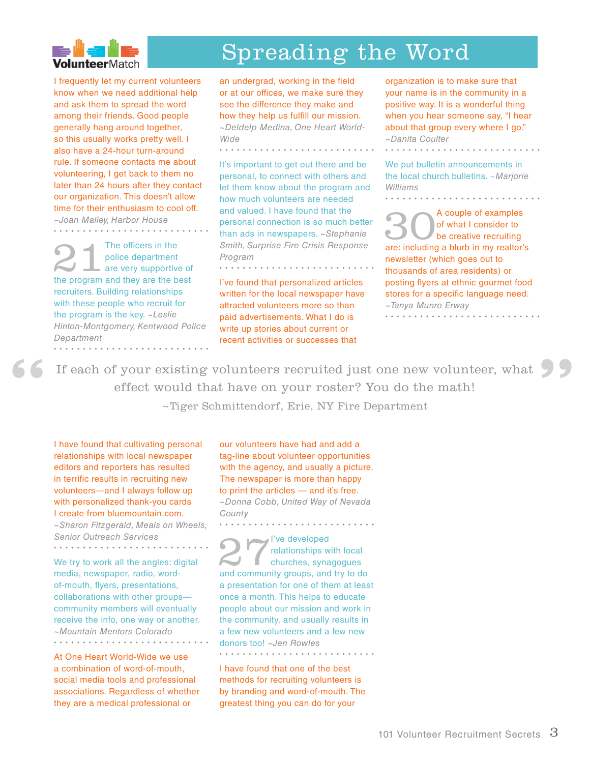

# Spreading the Word

I frequently let my current volunteers know when we need additional help and ask them to spread the word among their friends. Good people generally hang around together, so this usually works pretty well. I also have a 24-hour turn-around rule. If someone contacts me about volunteering, I get back to them no later than 24 hours after they contact our organization. This doesn't allow time for their enthusiasm to cool off. *~Joan Malley, Harbor House*

The officers in the<br>
police department<br>
are very supportive of<br>
the program and they are the best police department the program and they are the best recruiters. Building relationships with these people who recruit for the program is the key. *~Leslie Hinton-Montgomery, Kentwood Police Department*

an undergrad, working in the field or at our offices, we make sure they see the difference they make and how they help us fulfill our mission. *~Deldelp Medina, One Heart World-Wide*

. . . . . . . . . . . . . . . . . . .

It's important to get out there and be personal, to connect with others and let them know about the program and how much volunteers are needed and valued. I have found that the personal connection is so much better than ads in newspapers. *~Stephanie Smith, Surprise Fire Crisis Response Program*

I've found that personalized articles written for the local newspaper have attracted volunteers more so than paid advertisements. What I do is write up stories about current or recent activities or successes that

organization is to make sure that your name is in the community in a positive way. It is a wonderful thing when you hear someone say, "I hear about that group every where I go." *~Danita Coulter*

We put bulletin announcements in the local church bulletins. ~*Marjorie Williams*

<sup>A</sup> couple of examples<br>of what I consider to<br>are: including a blurb in my realtor's of what I consider to be creative recruiting are: including a blurb in my realtor's newsletter (which goes out to thousands of area residents) or posting flyers at ethnic gourmet food stores for a specific language need. *~Tanya Munro Erway* . . . . . . . . . . . .

**"**

If each of your existing volunteers recruited just one new volunteer, what effect would that have on your roster? You do the math! **66** If each of your existing volunteers recruited just one new effect would that have on your roster? You do the  $\sim$ Tiger Schmittendorf, Erie, NY Fire Department

I have found that cultivating personal relationships with local newspaper editors and reporters has resulted in terrific results in recruiting new volunteers—and I always follow up with personalized thank-you cards I create from bluemountain.com.

*~Sharon Fitzgerald, Meals on Wheels, Senior Outreach Services*

We try to work all the angles: digital media, newspaper, radio, wordof-mouth, flyers, presentations, collaborations with other groups community members will eventually receive the info, one way or another. *~Mountain Mentors Colorado* . . . . . . . . . . . . . . . . . . . .

At One Heart World-Wide we use a combination of word-of-mouth, social media tools and professional associations. Regardless of whether they are a medical professional or

our volunteers have had and add a tag-line about volunteer opportunities with the agency, and usually a picture. The newspaper is more than happy to print the articles — and it's free. *~Donna Cobb, United Way of Nevada County* . . . . . . . . . . . . . . . . . .

27I've developed relationships with local churches, synagogues and community groups, and try to do a presentation for one of them at least once a month. This helps to educate people about our mission and work in the community, and usually results in a few new volunteers and a few new donors too! *~Jen Rowles* . . . . . . . . . . . . . . .

I have found that one of the best methods for recruiting volunteers is by branding and word-of-mouth. The greatest thing you can do for your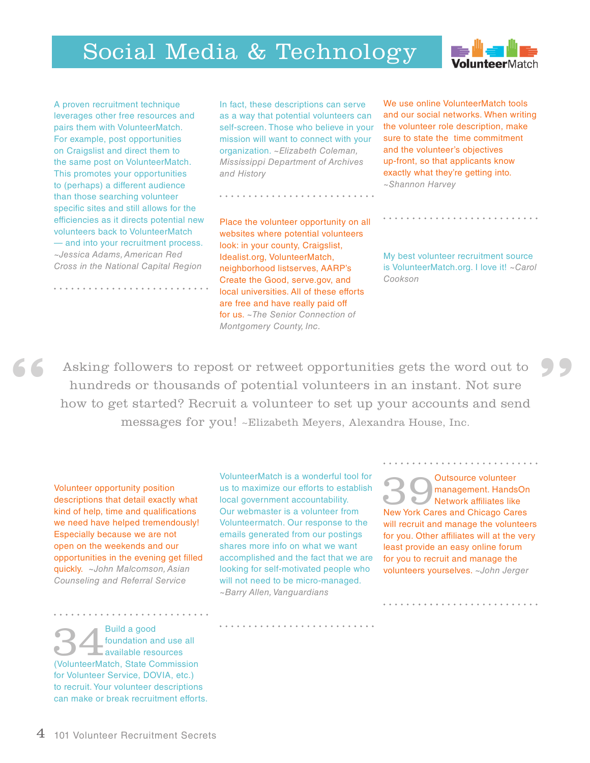# Social Media & Technology



A proven recruitment technique leverages other free resources and pairs them with VolunteerMatch. For example, post opportunities on Craigslist and direct them to the same post on VolunteerMatch. This promotes your opportunities to (perhaps) a different audience than those searching volunteer specific sites and still allows for the efficiencies as it directs potential new volunteers back to VolunteerMatch — and into your recruitment process. *~Jessica Adams, American Red Cross in the National Capital Region*

In fact, these descriptions can serve as a way that potential volunteers can self-screen. Those who believe in your mission will want to connect with your organization. *~Elizabeth Coleman, Mississippi Department of Archives and History*

We use online VolunteerMatch tools and our social networks. When writing the volunteer role description, make sure to state the time commitment and the volunteer's objectives up-front, so that applicants know exactly what they're getting into. *~Shannon Harvey*

Place the volunteer opportunity on all websites where potential volunteers look: in your county, Craigslist, Idealist.org, VolunteerMatch, neighborhood listserves, AARP's Create the Good, serve.gov, and local universities. All of these efforts are free and have really paid off for us. *~The Senior Connection of Montgomery County, Inc.*

My best volunteer recruitment source is VolunteerMatch.org. I love it! *~Carol Cookson*

Asking followers to repost or retweet opportunities gets the word out to hundreds or thousands of potential volunteers in an instant. Not sure how to get started? Recruit a volunteer to set up your accounts and send messages for you! ~Elizabeth Meyers, Alexandra House, Inc. **EXECUTE:** Asking followers to repost or retweet opportunities gets the word out to hundreds or thousands of potential volunteers in an instant. Not sure how to get started? Recruit a volunteer to set up your accounts and

Volunteer opportunity position descriptions that detail exactly what kind of help, time and qualifications we need have helped tremendously! Especially because we are not open on the weekends and our opportunities in the evening get filled quickly. *~John Malcomson, Asian Counseling and Referral Service*

VolunteerMatch is a wonderful tool for us to maximize our efforts to establish local government accountability. Our webmaster is a volunteer from Volunteermatch. Our response to the emails generated from our postings shares more info on what we want accomplished and the fact that we are looking for self-motivated people who will not need to be micro-managed. *~Barry Allen, Vanguardians*

**39 Outsource volunteer**<br> **New York Cares and Chicago Cares**<br>
New York Cares and Chicago Cares management. HandsOn Network affiliates like will recruit and manage the volunteers for you. Other affiliates will at the very least provide an easy online forum for you to recruit and manage the volunteers yourselves. *~John Jerger*

**344**<br>**Example 1**<br>**Example 1**<br>**Example 1**<br>**Example 1**<br>**Example 1**<br>**Example 1**<br>**Example 1**<br>**Example 1**<br>**Example 1**<br>**Example 1**<br>**Example 1**<br>**Example 1**<br>**Example 1**<br>**Example 1**<br>**Example 1**<br>**Example 1**<br>**Example 1**<br>**Example 1**<br> foundation and use all available resources for Volunteer Service, DOVIA, etc.) to recruit. Your volunteer descriptions can make or break recruitment efforts.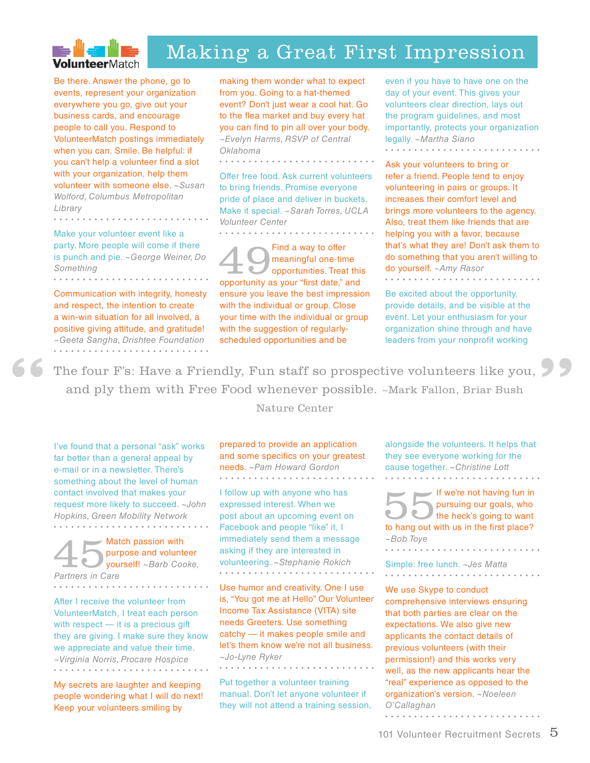

### Making a Great First Impression

Be there. Answer the phone, go to events, represent your organization everywhere you go, give out your business cards, and encourage people to call you. Respond to VolunteerMatch postings immediately when you can. Smile. Be helpful: if you can't help a volunteer find a slot with your organization, help them volunteer with someone else. *~Susan Wolford, Columbus Metropolitan Library* 

Make your volunteer event like a party. More people will come if there is punch and pie. *~George Weiner, Do Something* 

Communication with integrity, honesty and respect, the intention to create a win-win situation for all involved, a positive giving attitude, and gratitude! *~Geeta Sangha, Drishtee Foundation* 

making them wonder what to expect from you. Going to a hat-themed event? Don't just wear a cool hat. Go to the flea market and buy every hat you can find to pin all over your body. *~Evelyn Harms, RSVP of Central Oklahoma*

. . . . . . . .

Offer free food. Ask current volunteers to bring friends. Promise everyone pride of place and deliver in buckets. Make it special. *~Sarah Torres, UCLA Volunteer Center* . . . . . . . . . . . .

Find a way to offer<br>
meaningful one-time<br>
opportunities. Treat this<br>
opportunity as your "first date," and meaningful one-time opportunities. Treat this ensure you leave the best impression with the individual or group. Close your time with the individual or group with the suggestion of regularlyscheduled opportunities and be

even if you have to have one on the day of your event. This gives your volunteers clear direction, lays out the program guidelines, and most importantly, protects your organization legally. *~Martha Siano* . . . . . . . . . . . .

Ask your volunteers to bring or refer a friend. People tend to enjoy volunteering in pairs or groups. It increases their comfort level and brings more volunteers to the agency. Also, treat them like friends that are helping you with a favor, because that's what they are! Don't ask them to do something that you aren't willing to do yourself. *~Amy Rasor* . . . . . . . . . . . . . . . . . . . .

Be excited about the opportunity, provide details, and be visible at the event. Let your enthusiasm for your organization shine through and have leaders from your nonprofit working

The four F's: Have a Friendly, Fun staff so prospective volunteers like you, and ply them with Free Food whenever possible. ~Mark Fallon, Briar Bush **"**

#### Nature Center

I've found that a personal "ask" works far better than a general appeal by e-mail or in a newsletter. There's something about the level of human contact involved that makes your request more likely to succeed. *~John Hopkins, Green Mobility Network*

Match passion with purpose and volunteer yourself! *~Barb Cooke, Partners in Care*

**"**

After I receive the volunteer from VolunteerMatch, I treat each person with respect — it is a precious gift they are giving. I make sure they know we appreciate and value their time. *~Virginia Norris, Procare Hospice* . . . . . . . . . . . . . . . . . . .

My secrets are laughter and keeping people wondering what I will do next! Keep your volunteers smiling by

prepared to provide an application and some specifics on your greatest needs. *~Pam Howard Gordon* 

I follow up with anyone who has expressed interest. When we post about an upcoming event on Facebook and people "like" it, I immediately send them a message asking if they are interested in volunteering. *~Stephanie Rokich*

Use humor and creativity. One I use is, "You got me at Hello" Our Volunteer Income Tax Assistance (VITA) site needs Greeters. Use something catchy — it makes people smile and let's them know we're not all business. *~Jo-Lyne Ryker* . . . . . . . . . . . . . . . . . . .

Put together a volunteer training manual. Don't let anyone volunteer if they will not attend a training session, alongside the volunteers. It helps that they see everyone working for the cause together. *~Christine Lott* . . . . . . . . . . . . . . . . . . . .

**If we're not having fun in** pursuing our goals, who the heck's going to want to hang out with us in the first place? *~Bob Toye*

Simple: free lunch. *~Jes Matta* 

We use Skype to conduct comprehensive interviews ensuring that both parties are clear on the expectations. We also give new applicants the contact details of previous volunteers (with their permission!) and this works very well, as the new applicants hear the "real" experience as opposed to the organization's version. *~Noeleen O'Callaghan*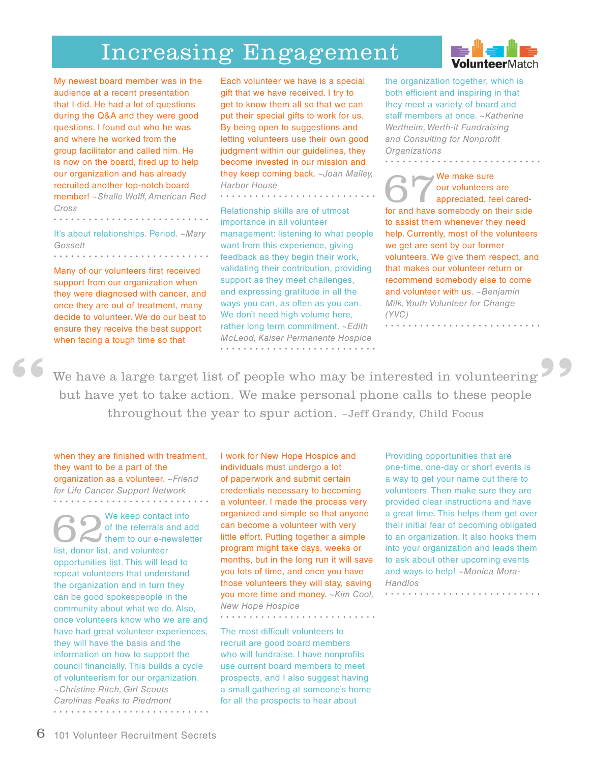# Increasing Engagement

My newest board member was in the audience at a recent presentation that I did. He had a lot of questions during the Q&A and they were good questions. I found out who he was and where he worked from the group facilitator and called him. He is now on the board, fired up to help our organization and has already recruited another top-notch board member! ~*Shalle Wolff, American Red Cross* 

It's about relationships. Period. *~Mary Gossett*

. . . . . . . . . . . . . . . .

Many of our volunteers first received support from our organization when they were diagnosed with cancer, and once they are out of treatment, many decide to volunteer. We do our best to ensure they receive the best support when facing a tough time so that

**"**

Each volunteer we have is a special gift that we have received. I try to get to know them all so that we can put their special gifts to work for us. By being open to suggestions and letting volunteers use their own good judgment within our guidelines, they become invested in our mission and they keep coming back. *~Joan Malley, Harbor House*

Relationship skills are of utmost importance in all volunteer management: listening to what people want from this experience, giving feedback as they begin their work, validating their contribution, providing support as they meet challenges, and expressing gratitude in all the ways you can, as often as you can. We don't need high volume here, rather long term commitment. *~Edith McLeod, Kaiser Permanente Hospice*

the organization together, which is both efficient and inspiring in that they meet a variety of board and staff members at once. *~Katherine Wertheim, Werth-it Fundraising and Consulting for Nonprofit Organizations*

. . . . . . . . . .

We make sure our volunteers are appreciated, feel caredfor and have somebody on their side to assist them whenever they need help. Currently, most of the volunteers we get are sent by our former volunteers. We give them respect, and that makes our volunteer return or recommend somebody else to come and volunteer with us. *~Benjamin Milk, Youth Volunteer for Change (YVC)* 

We have a large target list of people who may be interested in volunteering but have yet to take action. We make personal phone calls to these people throughout the year to spur action. ~Jeff Grandy, Child Focus

I work for New Hope Hospice and

when they are finished with treatment, they want to be a part of the organization as a volunteer. *~Friend for Life Cancer Support Network*

We keep contact info<br>
of the referrals and add<br>
them to our e-newsletter<br>
list donor list and volunteer of the referrals and add list, donor list, and volunteer opportunities list. This will lead to repeat volunteers that understand the organization and in turn they can be good spokespeople in the community about what we do. Also, once volunteers know who we are and have had great volunteer experiences, they will have the basis and the information on how to support the council financially. This builds a cycle of volunteerism for our organization. *~Christine Ritch, Girl Scouts Carolinas Peaks to Piedmont*

individuals must undergo a lot of paperwork and submit certain credentials necessary to becoming a volunteer. I made the process very organized and simple so that anyone can become a volunteer with very little effort. Putting together a simple program might take days, weeks or months, but in the long run it will save you lots of time, and once you have those volunteers they will stay, saving you more time and money. *~Kim Cool, New Hope Hospice*

The most difficult volunteers to recruit are good board members who will fundraise. I have nonprofits use current board members to meet prospects, and I also suggest having a small gathering at someone's home for all the prospects to hear about

Providing opportunities that are one-time, one-day or short events is a way to get your name out there to volunteers. Then make sure they are provided clear instructions and have a great time. This helps them get over their initial fear of becoming obligated to an organization. It also hooks them into your organization and leads them to ask about other upcoming events and ways to help! *~Monica Mora-Handlos*

**"**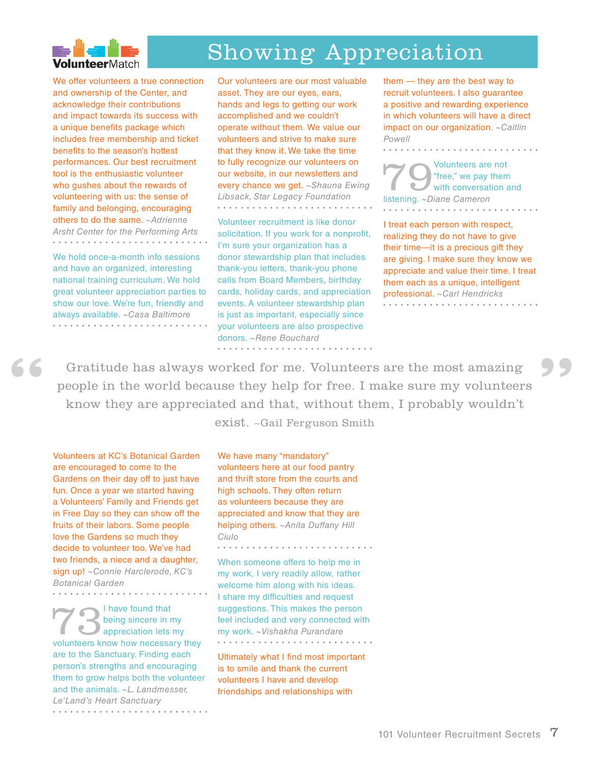

# Showing Appreciation

We offer volunteers a true connection and ownership of the Center, and acknowledge their contributions and impact towards its success with a unique benefits package which includes free membership and ticket benefits to the season's hottest performances. Our best recruitment tool is the enthusiastic volunteer who gushes about the rewards of volunteering with us: the sense of family and belonging, encouraging others to do the same. *~Adrienne Arsht Center for the Performing Arts*

We hold once-a-month info sessions and have an organized, interesting national training curriculum. We hold great volunteer appreciation parties to show our love. We're fun, friendly and always available. *~Casa Baltimore* 

Our volunteers are our most valuable asset. They are our eyes, ears, hands and legs to getting our work accomplished and we couldn't operate without them. We value our volunteers and strive to make sure that they know it. We take the time to fully recognize our volunteers on our website, in our newsletters and every chance we get. *~Shauna Ewing Libsack, Star Legacy Foundation* . . . . . . . . . . . . . . . . . .

Volunteer recruitment is like donor solicitation. If you work for a nonprofit, I'm sure your organization has a donor stewardship plan that includes thank-you letters, thank-you phone calls from Board Members, birthday cards, holiday cards, and appreciation events. A volunteer stewardship plan is just as important, especially since your volunteers are also prospective donors. *~Rene Bouchard*

them — they are the best way to recruit volunteers. I also guarantee a positive and rewarding experience in which volunteers will have a direct impact on our organization. *~Caitlin Powell*

. . . . . . . . . . . . . . . . . .

Volunteers are not<br>
"free," we pay them<br>
with conversation a<br>
listening pliane Cameron "free," we pay them with conversation and listening. *~Diane Cameron* . . . . . . . . . . . . . . . .

I treat each person with respect, realizing they do not have to give their time—it is a precious gift they are giving. I make sure they know we appreciate and value their time. I treat them each as a unique, intelligent professional. *~Carl Hendricks* 

Gratitude has always worked for me. Volunteers are the most amazing people in the world because they help for free. I make sure my volunteers know they are appreciated and that, without them, I probably wouldn't exist. ~Gail Ferguson Smith **6 6** Gratitude has always worked for me. Volunteers are the most amazing people in the world because they help for free. I make sure my volunteers know they are appreciated and that, without them, I probably wouldn't

Volunteers at KC's Botanical Garden We have many "mandatory"

are encouraged to come to the Gardens on their day off to just have fun. Once a year we started having a Volunteers' Family and Friends get in Free Day so they can show off the fruits of their labors. Some people love the Gardens so much they decide to volunteer too. We've had two friends, a niece and a daughter, sign up! *~Connie Harclerode, KC's Botanical Garden*

I have found that<br>
being sincere in my<br>
volunteers know how necessary to being sincere in my volunteers know how necessary they are to the Sanctuary. Finding each person's strengths and encouraging them to grow helps both the volunteer and the animals. *~L. Landmesser, Le'Land's Heart Sanctuary*  volunteers here at our food pantry and thrift store from the courts and high schools. They often return as volunteers because they are appreciated and know that they are helping others. *~Anita Duffany Hill Ciulo*

When someone offers to help me in my work, I very readily allow, rather welcome him along with his ideas. I share my difficulties and request suggestions. This makes the person feel included and very connected with my work. *~Vishakha Purandare* . . . . . . . . . . . . . . . . . . . .

Ultimately what I find most important is to smile and thank the current volunteers I have and develop friendships and relationships with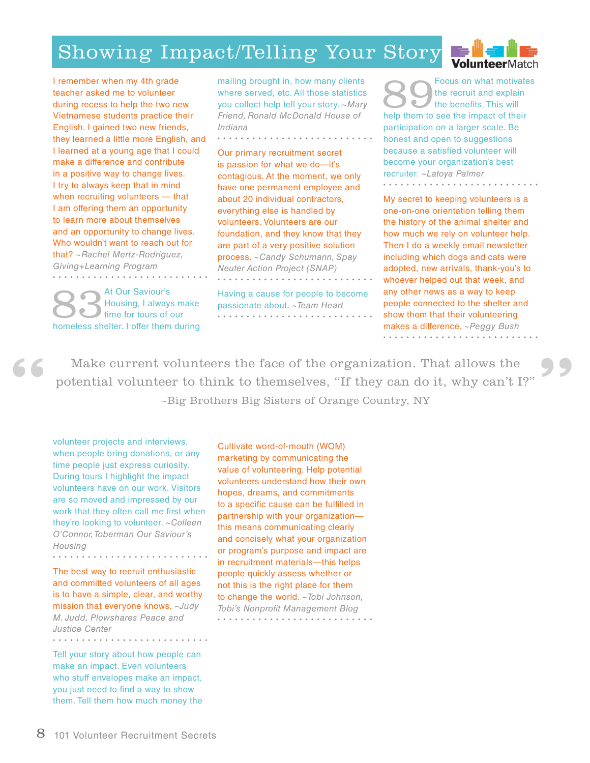# Showing Impact/Telling Your Story



I remember when my 4th grade teacher asked me to volunteer during recess to help the two new Vietnamese students practice their English. I gained two new friends, they learned a little more English, and I learned at a young age that I could make a difference and contribute in a positive way to change lives. I try to always keep that in mind when recruiting volunteers — that I am offering them an opportunity to learn more about themselves and an opportunity to change lives. Who wouldn't want to reach out for that? *~Rachel Mertz-Rodriguez, Giving+Learning Program*

At Our Saviour's<br>Housing, I always<br>time for tours of a<br>homeless shelter Lefter them Housing, I always make time for tours of our homeless shelter. I offer them during

**"**

mailing brought in, how many clients where served, etc. All those statistics you collect help tell your story. *~Mary Friend, Ronald McDonald House of Indiana* 

Our primary recruitment secret is passion for what we do—it's contagious. At the moment, we only have one permanent employee and about 20 individual contractors, everything else is handled by volunteers. Volunteers are our foundation, and they know that they are part of a very positive solution process. *~Candy Schumann, Spay Neuter Action Project (SNAP)* 

Having a cause for people to become passionate about. *~Team Heart*

Focus on what motivates the recruit and explain the benefits. This will help them to see the impact of their participation on a larger scale. Be honest and open to suggestions because a satisfied volunteer will become your organization's best recruiter. *~Latoya Palmer* . . . . . . . . . . . . . . . . . .

My secret to keeping volunteers is a one-on-one orientation telling them the history of the animal shelter and how much we rely on volunteer help. Then I do a weekly email newsletter including which dogs and cats were adopted, new arrivals, thank-you's to whoever helped out that week, and any other news as a way to keep people connected to the shelter and show them that their volunteering makes a difference. *~Peggy Bush* . . . . . . . . . . . . . .

**"**

Make current volunteers the face of the organization. That allows the potential volunteer to think to themselves, "If they can do it, why can't I?" ~Big Brothers Big Sisters of Orange Country, NY

volunteer projects and interviews, when people bring donations, or any time people just express curiosity. During tours I highlight the impact volunteers have on our work. Visitors are so moved and impressed by our work that they often call me first when they're looking to volunteer. *~Colleen O'Connor, Toberman Our Saviour's Housing* . . . . . . . . . . . . . . . . . . .

The best way to recruit enthusiastic and committed volunteers of all ages is to have a simple, clear, and worthy mission that everyone knows. *~Judy M. Judd, Plowshares Peace and Justice Center* . . . . . . . . . . .

 $\begin{array}{cccccccccccccc} a & a & a & a & a & a & a & a & a \end{array}$ 

Tell your story about how people can make an impact. Even volunteers who stuff envelopes make an impact, you just need to find a way to show them. Tell them how much money the Cultivate word-of-mouth (WOM) marketing by communicating the value of volunteering. Help potential volunteers understand how their own hopes, dreams, and commitments to a specific cause can be fulfilled in partnership with your organization this means communicating clearly and concisely what your organization or program's purpose and impact are in recruitment materials—this helps people quickly assess whether or not this is the right place for them to change the world. *~Tobi Johnson, Tobi's Nonprofit Management Blog*